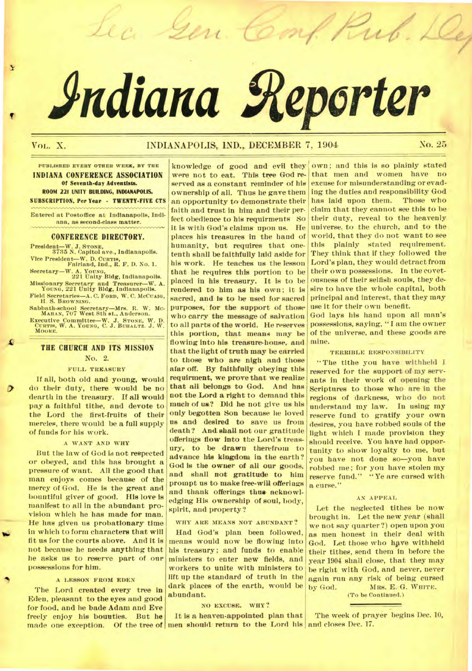# **Adiana geperter**

Gen. Comp.

# VOL. X. INDIANAPOLIS,. IND.,, DECEMBER 7, 1904 **No.** 25

 $=$ 

### **PUBLISHED EVERY OTHER WEEK, BY THE**  INDIANA CONFERENCE ASSOCIATION Of Seventh-day Adventists. ROOM 221 UNITY BUILDING, INDIANAPOLIS. SUBSCRIPTION. Per Year - TWENTY-FIVE CTS

Entered *at* Postoffice at Indianapolis, Indiana, as second-class matter.

### CONFERENCE DIRECTORY.

President—W. J. **STONE,**  3735 N. Capitol ave., Indianapolis. Vice President—W. D. Cumin, Fairland, Ind., R. F. D. No. 1. Secretary—W. A. **YOUNG,**  221 Unity Bldg, Indianapolis. Missionary Secretary and Treasurer—W. A. **YOUNG,** 221 Unity Bldg, Indianapolis. Field Secretaries—A. C. **FORD, W. C. McCuAIG,**  H. S. **BROWNING.**  Sabbath-school Secretary—Mrs. R. W. **Mc-MAHAN,** 707 West 8th et.. Anderson.

Executive Committee—W. J. STONE, W. D. CURTIS, W. A. YOUNG, C. J. BUHALTZ. J. W. MOORE.

## THE CHURCH AND ITS MISSION

### No. 2.

### FULL TREASURY

*If* all, both old and young, would do their duty, there would be no dearth in the treasury. If all would pay a faithful tithe, and devote to the Lord the first-fruits of their mercies, there would be a full supply of funds for his work.

### A WANT AND WHY

But the law of God is not respected or obeyed, and this has brought a pressure of want. All the good that man enjoys comes because of the mercy of God. He is the great and bountiful giver of good. His love is manifest to all in the abundant provision which *he* has made for man. He has given us probationary time in which to form characters that will fit us for the courts above. And It is not because he needs anything that he asks us to reserve part of our possessions for him.

• " *\*iv* 

### A LESSON FROM EDEN

The Lord created every tree in Eden, pleasant to the eyes and good for food, and he bade Adam and Eve freely enjoy his bounties. But he made one exception. Of the tree of men should return to the Lord his and closes Dec. 17.

knowledge of good and evil they were not to eat. This tree God reserved as a constant reminder of his ownership of all. Thus he gave them an opportunity to demonstrate their faith and trust in him and their perfect obedience to his requirments So it is with God's claims upon us. He places his treasures in the hand of humanity, but requires that onetenth shall be faithfully laid aside for his work. He teaches us the lesson that he requires this portion to be placed in his treasury. It is to be rendered to him as his own; it is sacred, and is to he used for sacred purposes, for the support of those who carry the message of salvation to all parts of the world. He reserves this portion, that means may be flowing into his treasure-house, and that the light of truth may be carried to those who are nigh and those afar off. By faithfully obeying this requirment, we prove that we realize that all belongs to God. And has not the Lord a right to demand this much of us? Did he not give us his only begotten Son because he loved us and desired to *save* us from death? And.shall not our gratitude offerings flow into the Lord's treasury, to be drawn therefrom to advance his kingdom in the earth? God is the owner of all our goods, and shall not gratitude to him prompt us to make free-will offerings and thank offerings thus acknowledging His ownership of soul, body, spirit, and property?

### WHY ARE MEANS NOT ABUNDANT?

Had God's plan been followed, means would now be flowing into his treasury; and funds to enable ministers to enter new fields, and workers to unite with ministers to lift up the standard of truth in the dark places of the earth, would be abundant.

### NO EXCUSE. WHY?

It is a heaven-appointed plan that

own ; and this is so plainly stated that men and women have no excuse for misunderstanding or evading the duties and responsibility God has laid upon them. Those who claim that they cannot see this to be their duty, reveal to the heavenly universe, to the church, and to the world, that they do not want to see this plainly stated requirement. They think that if they followed the Lord's plan, they would detract from their own possessions. In the covetousness of their selfish souls, they desire to have the whole capital, both principal and interest, that they may use it for their own benefit.

God lays his hand upon all man's possessions, saying, "I am the owner of the universe, and these goods are mine. \_

### TERRIBLE RESPONSIBILITY

"The tithe you have withheld I reserved for the support of my servants in their work of opening the Scriptures to those who are in the regions of darkness, who do not understand my law. In using my reserve fund to gratify your own desires, you have robbed souls of the light which I made provision they should receive. You have had opportunity to show loyalty to me, but you have not done so—you have robbed me; for you have stolen my reserve fund." "Ye are cursed with a curse."

### AN APPEAL

Let the neglected tithes be now brought in. Let the new year (shall we not say quarter?) open upon you as men honest in their deal with God. Let those who have withheld their tithes, send them in before the year 1904 shall close, that they may be right with God, and never, never again run any risk of being cursed<br>by God. MRS. E. G. WHITE. MRS. E. G. WHITE.

(To be Continued.)

The week of prayer begins Dec. 10,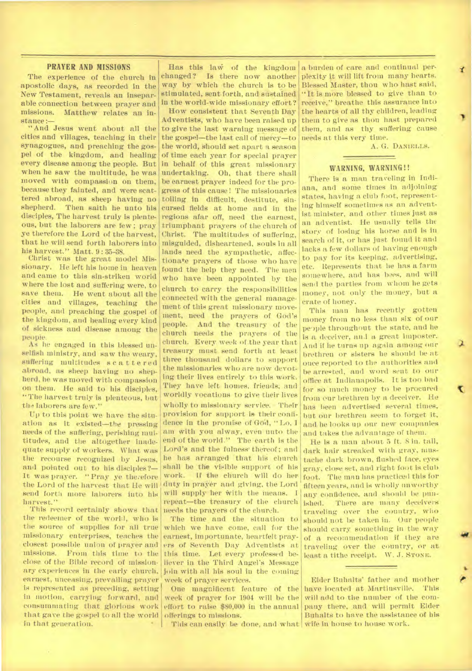### **PRAYER AND MISSIONS**

The experience of the church in apostolic days, as recorded in the New Testament, reveals an inseparable connection between prayer and missions. Matthew relates an instance :-

" And Jesus went about all the cities and villages, teaching in their synagogues, and preaching the gospel of the kingdom, and healing every disease among the people. But when he saw the multitude, he was moved with compassion on them, because they fainted, and were scattered abroad, as sheep having no shepherd. Then saith he unto his disciples, The harvest truly is plenteous, but the laborers are few ; pray ye therefore the Lord of the harvest, that he will send forth laborers into his harvest." Matt. 9 : 35-38.

Christ was the great model Missionary. He left his home iu heaven and came to this sin-striken world where the lost and suffering were, to save them. He went about all the cities and villages, teaching the people, and preaching the gospel of the kingdom, and healing every kind of sickness and disease among the people.

As he engaged in this blessed unselfish ministry, and saw the weary, suffering multitudes scattered abroad, as sheep having no shepherd, he was moved with compassion on them. He said to his disciples, "The harvest truly is plenteous, but the laborers are few."

Up to this point we have the situation as it existed—the pressing needs of the suffering, perishing multitudes, and the altogether inadequate supply of workers. What was the recourse recognized by Jesus. and pointed out to his disciples?— It was prayer. "Pray ye therefore the Lord of the harvest that He will send forth more laborers into his harvest."

This record certainly shows that the redeemer of the world, who is the source of supplies for all true missionary enterprises, teaches the closest possible union of prayer and missions. From this time to the close of the Bible record of missionary experiences in the early church, earnest, unceasing, prevailing prayer is represented as preceding, setting in motion, carrying forward, and consummating that glorious work that gave the gospel to all the world in that generation.

Has this law of the kingdom<br>changed? Is there now another Is there now another way by which the church is to be stimulated, sent forth, and- sustained in the world-wide missionary effort?

How consistent that Seventh Day Adventists, who have been raised up to give the last warning message of the gospel-the last call of mercy-to the world, Should set apart a season of time each year for special prayer in behalf of this great missionary undertaking. Oh, that there shall be earnest prayer indeed for the progress of this cause! The missionaries toiling in difficult, destitute, sincursed fields at home and in the regions afar off, need the earnest, triumphant prayers of the church of Christ. The multitudes of suffering, misguided, disheartened, souls In all lands need the sympathetic, affectionate prayers of those who have found the help they need. The men who have been appointed by the church to carry the responsibilities connected with the general management of this great missionary movement, need the prayers of God's people. And the treasury of the church needs the prayers of the church. Every *week* of the year that treasury must send forth at least three thousand dollars to support the missionaries who are now devoting their lives entirely to this work. They have left homes, friends, and worldly vocations to give their lives wholly to missionary service. Their provision for support is their confidence in the promise of God, "Lo, I am with you alway, even unto the end of the world." The earth is the Lord's and the fulness' thereof; and he has arranged that his church shall be the visible support of his If the church will do her duty in prayer and giving, the Lord will supply her with the means. I repeat—the treasury of the church needs the prayers of the church.

The time and the situation to which we have come, call for the earnest, importunate, heartfelt prayers of Seventh Day Adventists at this time. Let every professed believer in the Third Angel's Message join with all his soul in the coming week of prayer services.

One magnificent feature of the week of prayer for 1904 will be the effort to raise \$80,000 in the annual offerings to missions.

This can easily be done, and what wife in house to house work.

a burden of care and continual perplexity It will lift from many hearts. Blessed Master, thou who hast said, "It is more blessed to give than to receive," breathe this assurance into the hearts of all thy children, leading them to give as thou hast prepared them, and as thy suffering cause needs at this very time.

A. G. DANIELLS.

### **WARNING, WARNING!!**

There is a man traveling in Indiana, and some times in adjoining states, having a club foot, representing himself sometimes as an advent-1st minister, and other times just as an adventist. He usually tells the story of losing his horse and is in search of it, or has just found it and lacks a few dollars of having enough to pay for its keeping, advertising, etc. Represents that lie has a farm somewhere, and has bees, and will send the parties from whom he gets money, not only the money, but a crate of honey.

This man has recently gotten money from no less than six of our pe9ple throughout the state, and he is a deceiver, an.I a great imposter. And if he turns up again among our brethren or sisters he should be at once reported to the authorities and he arrested, and word sent to our office At Indianapolis. It is too bad for so much money to be procured. from our brethren by a deceiver. He has been advertised several times, but our brethren seem to forget it, and. he looks up our new companies and takes the advantage of them.

ix

He is a man about 5 ft. 8 in. tall, dark hair streaked with gray, mustache dark brown, flushed face, eyes gray, close. set, and right foot is club foot. The man has practiced this for fifteen years, and is wholly unworthy any confidence, and should be punished. There are many deceivers traveling over the country, who should not be taken in. Our people should carry something in the way of a recommendation if they are traveling over the country, or at least a tithe receipt. W. J. STONE.

Elder Buhalts' father and mother have located at Martinsville. This will add to the number of the company there, and will permit Elder Buhalts to have the assistance of his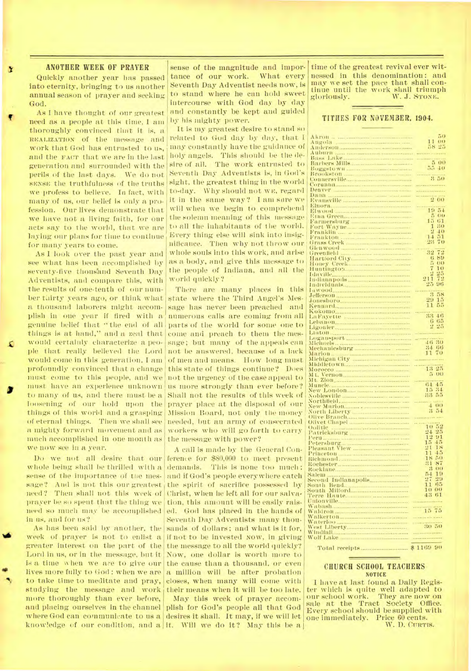### **ANOTHER WEEK OF PRAYER**

Quickly another year has passed into eternity, bringing to us another annual season of prayer and seeking God.

As I have thought of our greatest need as a people at this time, I am thoroughly convinced that it is, a REALIZATION of the message and work that God has entrusted to us, and the FACT that we are in the last generation and surrounded with the perils of the last days. We do not SENSE the truthfulness of the truths we profess to believe. In fact, with many of us, our belief is only a profession. Our lives demonstrate that we have not a living faith, for our acts say to the world, that we are laying our plans for time to continue for many years to come.

As I look over the past year and see what has been accomplished by seventy-five thousand Seventh Day Adventists, and compare this, with the results of one-tenth of our number tairty years ago, or think what a thousand laborers might accomplish in one year if fired with a genuine belief that " the end of all things is at hand," and a zeal that would certainly characterize a people that really believed the Lord would come in this generation, I am profoundly convinced that a change must come to this people, and we must have an experience unknown us more strongly than ever before? to many of us, and there must be a loosening of Our hold upon the things of this world and a grasping of eternal things. Then we shall see a mighty forward movement and as much accomplished in one month as we now see in a year.

need? Then shall not this week of Christ, when he left all for our salvaprayer be so spent that the thing we need so much may be accomplished in us, and for us?

As has been said by another, the Week of prayer is not to enlist a if not to be invested now, in giving Lord in us, or in the message, but it is a time when we are to give our the cause than a thousand, or even studying the message and work their means when it will be too late. more thoroughly than ever before, and placing ourselves in the channel plish for God's people all that God where God can communicate to us a desires it shall. It may, if we will let knowledge of our condition, and a it. Will we do it? May this be a

sense of the magnitude and importance of our work. What every Seventh Day Adventist needs now, is to stand where he can hold sweet intercourse with God day by day and constantly be kept and guided by his mighty power.

It is my greatest desire to stand so related to God day by day, that I may constantly have the guidance of holy angels. This should be the desire of all. The work entrusted to Seventh Day Adventists is, in God's sight, the greatest thing in the world to-day. Why should not we, regard it in the same way? I am sore we will when we begin to comprehend the solemn meaning of this message to all the inhabitants of the world. Every thing else will sink into insignificance. Then why not throw our whole souls into this work, and arise as a body, and give this message to the people of Indiana, and all the world quickly?

There are many places in this state where the Third Angel's Message has never been preached and numerous calls are coming from all parts of the world for some one to come and preach to them the message; but many of the appeals can not be answered, because of a lack of men and means. How long must this state of things continue? Does not the urgency of the case appeal to Shall not the results of this week of prayer place at the disposal of our Mission Board, not only the money needed, but an army of consecrated workers who will go forth to carry the message with power?

Do we not all desire that our ference for \$80,000 to meet present whole being shall be thrilled with a demands. This is none too much ; sense of the importance of the mes- and if God's people everywhere catch sage? And is not this our greatest the spirit of sacrifice possessed by greater interest on the part of the the message to all the world quickly? lives more fully to God: when we are a million will be after probation to take time to meditate and pray, closes, when many will come with A call is made by the General Contion, this amount will be easily raised. God has placed in the hands of Seventh Day Adventists many thousands of dollars; and what is it for, Now, one dollar is worth more to

May this week of prayer accom-

time of the greatest revival ever witnessed in this denomination : and may we set the pace that shall continue until the work shall triumph<br>gloriously. W. J. STONE. W. J. STONE.

### **TITHES FOR NOVEMBER, 1904.**

| ARTOH                                                                                                                                                                                                                                                                             | 50                                            |
|-----------------------------------------------------------------------------------------------------------------------------------------------------------------------------------------------------------------------------------------------------------------------------------|-----------------------------------------------|
|                                                                                                                                                                                                                                                                                   | 11<br>$\omega$                                |
|                                                                                                                                                                                                                                                                                   | 25<br>58                                      |
|                                                                                                                                                                                                                                                                                   |                                               |
|                                                                                                                                                                                                                                                                                   | .                                             |
|                                                                                                                                                                                                                                                                                   |                                               |
|                                                                                                                                                                                                                                                                                   |                                               |
|                                                                                                                                                                                                                                                                                   |                                               |
|                                                                                                                                                                                                                                                                                   |                                               |
|                                                                                                                                                                                                                                                                                   | $\begin{array}{r}\n 320 \\ -320\n\end{array}$ |
|                                                                                                                                                                                                                                                                                   |                                               |
|                                                                                                                                                                                                                                                                                   |                                               |
|                                                                                                                                                                                                                                                                                   |                                               |
| lenver <b>Samman Miller and State</b><br>ı                                                                                                                                                                                                                                        |                                               |
|                                                                                                                                                                                                                                                                                   |                                               |
|                                                                                                                                                                                                                                                                                   |                                               |
|                                                                                                                                                                                                                                                                                   |                                               |
|                                                                                                                                                                                                                                                                                   | $\overline{51}$                               |
| Elwood                                                                                                                                                                                                                                                                            | 19                                            |
|                                                                                                                                                                                                                                                                                   | ē,<br>O(1)                                    |
|                                                                                                                                                                                                                                                                                   | 15<br>61                                      |
|                                                                                                                                                                                                                                                                                   | 30<br>1                                       |
|                                                                                                                                                                                                                                                                                   |                                               |
|                                                                                                                                                                                                                                                                                   | 2<br>$\overline{40}$                          |
|                                                                                                                                                                                                                                                                                   | $1 - 1$<br>$\frac{51}{70}$                    |
|                                                                                                                                                                                                                                                                                   | 23                                            |
|                                                                                                                                                                                                                                                                                   |                                               |
|                                                                                                                                                                                                                                                                                   | $\frac{1}{2}$                                 |
| Elwood<br>Farmersburg<br>Farmersburg<br>Farmersburg<br>Franklin<br>Franklin<br>Glenwood<br>Glenwood<br>Hartford City,<br>Hartford City,<br>Hartford City,<br>Hartford City,<br>Hartford City,<br>Hartford City,<br>Hartford City,<br>Hartford City,<br>Hartford City,<br>Hartford | 92                                            |
|                                                                                                                                                                                                                                                                                   | 6<br>89                                       |
|                                                                                                                                                                                                                                                                                   | 5<br>$\omega$                                 |
|                                                                                                                                                                                                                                                                                   | 10<br>7                                       |
|                                                                                                                                                                                                                                                                                   |                                               |
|                                                                                                                                                                                                                                                                                   | $\frac{21}{25}$<br>25<br>72                   |
|                                                                                                                                                                                                                                                                                   |                                               |
|                                                                                                                                                                                                                                                                                   | 96                                            |
|                                                                                                                                                                                                                                                                                   |                                               |
|                                                                                                                                                                                                                                                                                   | $\overline{58}$<br>3                          |
|                                                                                                                                                                                                                                                                                   |                                               |
|                                                                                                                                                                                                                                                                                   | 29<br>15                                      |
|                                                                                                                                                                                                                                                                                   | 11                                            |
|                                                                                                                                                                                                                                                                                   |                                               |
|                                                                                                                                                                                                                                                                                   | 33<br>$+6$                                    |
|                                                                                                                                                                                                                                                                                   |                                               |
|                                                                                                                                                                                                                                                                                   | 65<br>6                                       |
|                                                                                                                                                                                                                                                                                   | 25<br>ö)                                      |
|                                                                                                                                                                                                                                                                                   |                                               |
| Lutton<br>Logansport                                                                                                                                                                                                                                                              |                                               |
|                                                                                                                                                                                                                                                                                   |                                               |
|                                                                                                                                                                                                                                                                                   | 46 30                                         |
|                                                                                                                                                                                                                                                                                   | 34 66                                         |
|                                                                                                                                                                                                                                                                                   |                                               |
|                                                                                                                                                                                                                                                                                   |                                               |
|                                                                                                                                                                                                                                                                                   | $\overline{11}$<br>70                         |
|                                                                                                                                                                                                                                                                                   |                                               |
|                                                                                                                                                                                                                                                                                   |                                               |
|                                                                                                                                                                                                                                                                                   | 25                                            |
|                                                                                                                                                                                                                                                                                   | $\frac{1}{13}$                                |
|                                                                                                                                                                                                                                                                                   | 5<br>$\omega\omega$                           |
| Logausport<br>Michaels<br>Mechanicsburg<br>Mechanicsburg<br>Michigan City<br>Micheceo<br>Microceo<br>Microceo<br>Microceo<br>Mt.                                                                                                                                                  |                                               |
|                                                                                                                                                                                                                                                                                   | 45<br>(14)                                    |
|                                                                                                                                                                                                                                                                                   | 15<br>34                                      |
|                                                                                                                                                                                                                                                                                   | $-23.2$                                       |
| Muncle<br>New London<br>Noblesville                                                                                                                                                                                                                                               |                                               |
|                                                                                                                                                                                                                                                                                   |                                               |
|                                                                                                                                                                                                                                                                                   | 4 <sup>1</sup><br>00                          |
|                                                                                                                                                                                                                                                                                   | 3<br>54                                       |
|                                                                                                                                                                                                                                                                                   |                                               |
|                                                                                                                                                                                                                                                                                   |                                               |
|                                                                                                                                                                                                                                                                                   |                                               |
|                                                                                                                                                                                                                                                                                   | 10<br>52                                      |
| Ī                                                                                                                                                                                                                                                                                 | 25<br>$^{24}$                                 |
| I                                                                                                                                                                                                                                                                                 | 12<br>91                                      |
| New Marion,<br>North Liberty<br>North Liberty<br>Olivet Chapel<br>Oolitie                                                                                                                                                                                                         | 15<br>4.5                                     |
| I                                                                                                                                                                                                                                                                                 |                                               |
| I                                                                                                                                                                                                                                                                                 | 18<br>21                                      |
|                                                                                                                                                                                                                                                                                   | 11<br>$+5$                                    |
| ontwick<br>Patricksburg<br>Peru<br>Pleasant View<br>Princeton<br>Princeton                                                                                                                                                                                                        | 18<br>50                                      |
|                                                                                                                                                                                                                                                                                   | 87                                            |
|                                                                                                                                                                                                                                                                                   | 31                                            |
|                                                                                                                                                                                                                                                                                   | $_{\rm{B}}$<br>$\omega$                       |
|                                                                                                                                                                                                                                                                                   | 19<br>$5 - 1$                                 |
|                                                                                                                                                                                                                                                                                   | 27<br>29                                      |
|                                                                                                                                                                                                                                                                                   | $\overline{11}$<br>65                         |
|                                                                                                                                                                                                                                                                                   | $\sigma$                                      |
|                                                                                                                                                                                                                                                                                   | 10                                            |
|                                                                                                                                                                                                                                                                                   | 43                                            |
|                                                                                                                                                                                                                                                                                   |                                               |
|                                                                                                                                                                                                                                                                                   |                                               |
|                                                                                                                                                                                                                                                                                   |                                               |
|                                                                                                                                                                                                                                                                                   | $\frac{15}{15}$                               |
|                                                                                                                                                                                                                                                                                   |                                               |
|                                                                                                                                                                                                                                                                                   |                                               |
|                                                                                                                                                                                                                                                                                   |                                               |
|                                                                                                                                                                                                                                                                                   |                                               |
| Second Indianapolis<br>South Bend<br>South Milford<br>Terre Haute<br>Wabash<br>Waldron<br>walkerton<br>Waterloo<br>West Liberty<br>Windfall                                                                                                                                       |                                               |
| Wolf Lake                                                                                                                                                                                                                                                                         |                                               |

Total receipts \$ 1169 90

### **CHURCH SCHOOL TEACHERS**  NOTICE

I have at last found a Daily Register which is quite well adapted to our school work. They are now on sale at the Tract Society Office. Every school should be supplied with one immediately. Price 60 cents. W. D. CURTIS.